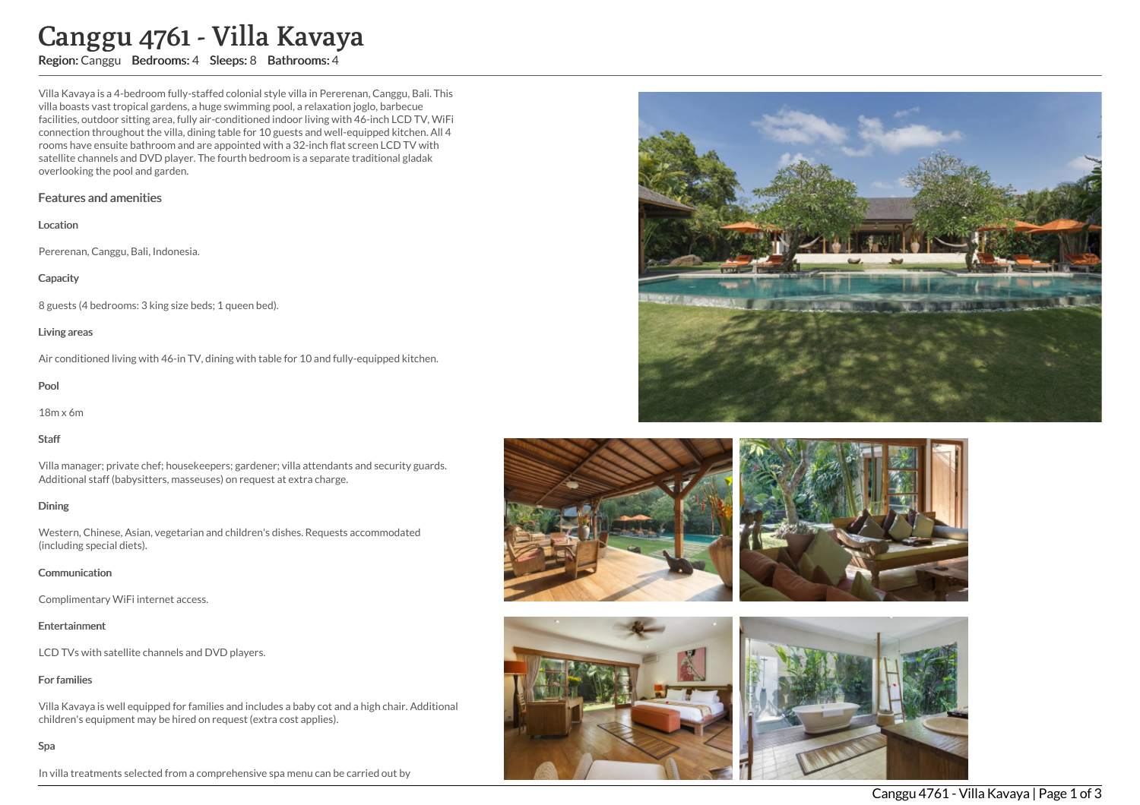# Canggu 4761 - Villa Kavaya

Region: Canggu Bedrooms: 4 Sleeps: 8 Bathrooms: 4

Villa Kavaya is a 4-bedroom fully-staffed colonial style villa in Pererenan, Canggu, Bali. This villa boasts vast tropical gardens, a huge swimming pool, a relaxation joglo, barbecue facilities, outdoor sitting area, fully air-conditioned indoor living with 46-inch LCD TV, WiFi connection throughout the villa, dining table for 10 guests and well-equipped kitchen. All 4 rooms have ensuite bathroom and are appointed with a 32-inch flat screen LCD TV with satellite channels and DVD player. The fourth bedroom is a separate traditional gladak overlooking the pool and garden.

## Features and amenities

#### Location

Pererenan, Canggu, Bali, Indonesia.

## **Capacity**

8 guests (4 bedrooms: 3 king size beds; 1 queen bed).

## Living areas

Air conditioned living with 46-in TV, dining with table for 10 and fully-equipped kitchen.

## Pool

18m x 6m

## Staff

Villa manager; private chef; housekeepers; gardener; villa attendants and security guards. Additional staff (babysitters, masseuses) on request at extra charge.

## Dining

Western, Chinese, Asian, vegetarian and children's dishes. Requests accommodated (including special diets).

## Communication

Complimentary WiFi internet access.

## Entertainment

LCD TVs with satellite channels and DVD players.

## For families

Villa Kavaya is well equipped for families and includes a baby cot and a high chair. Additional children's equipment may be hired on request (extra cost applies).

## Spa

In villa treatments selected from a comprehensive spa menu can be carried out by







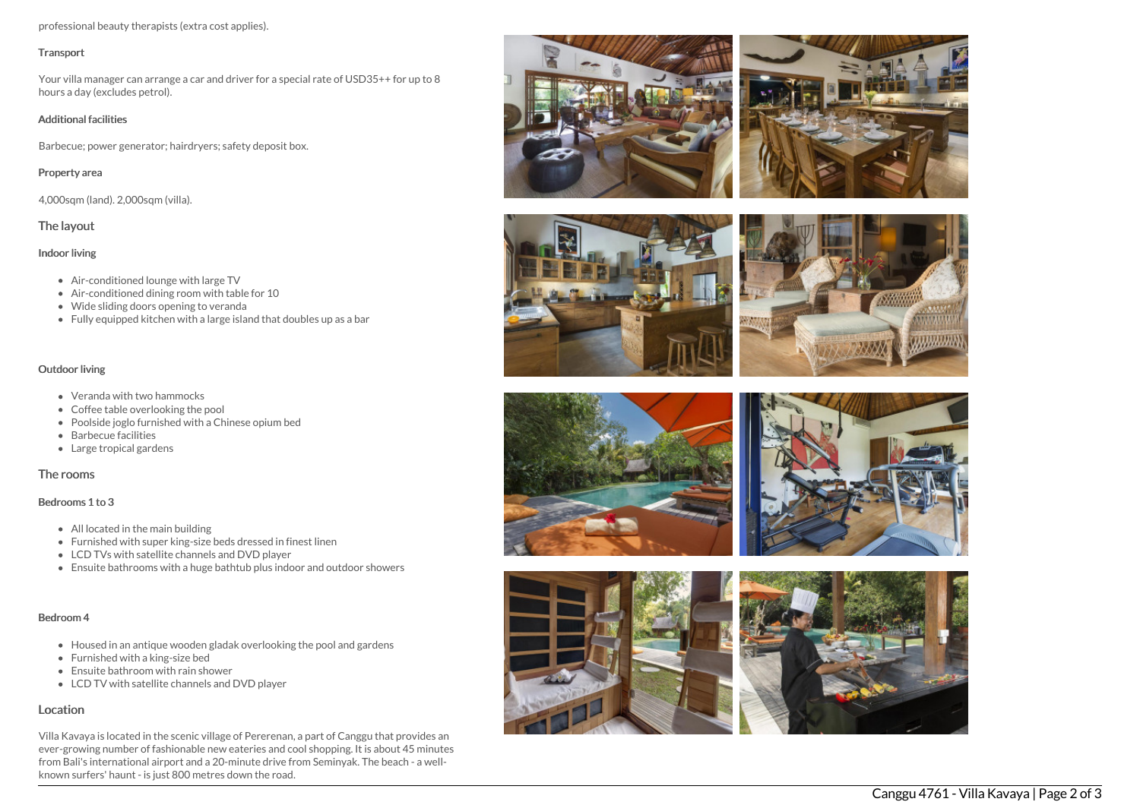professional beauty therapists (extra cost applies).

#### **Transport**

Your villa manager can arrange a car and driver for a special rate of USD35++ for up to 8 hours a day (excludes petrol).

### Additional facilities

Barbecue; power generator; hairdryers; safety deposit box.

## Property area

4,000sqm (land). 2,000sqm (villa).

## The layout

## Indoor living

- Air-conditioned lounge with large TV
- Air-conditioned dining room with table for 10
- Wide sliding doors opening to veranda
- Fully equipped kitchen with a large island that doubles up as a bar

## Outdoor living

- Veranda with two hammocks
- Coffee table overlooking the pool
- Poolside joglo furnished with a Chinese opium bed
- Barbecue facilities
- Large tropical gardens

## The rooms

## Bedrooms 1 to 3

- All located in the main building
- Furnished with super king-size beds dressed in finest linen
- LCD TVs with satellite channels and DVD player
- Ensuite bathrooms with a huge bathtub plus indoor and outdoor showers

## Bedroom 4

- Housed in an antique wooden gladak overlooking the pool and gardens
- Furnished with a king-size bed
- Ensuite bathroom with rain shower
- LCD TV with satellite channels and DVD player

## Location

Villa Kavaya is located in the scenic village of Pererenan, a part of Canggu that provides an ever-growing number of fashionable new eateries and cool shopping. It is about 45 minutes from Bali's international airport and a 20-minute drive from Seminyak. The beach - a wellknown surfers' haunt - is just 800 metres down the road.